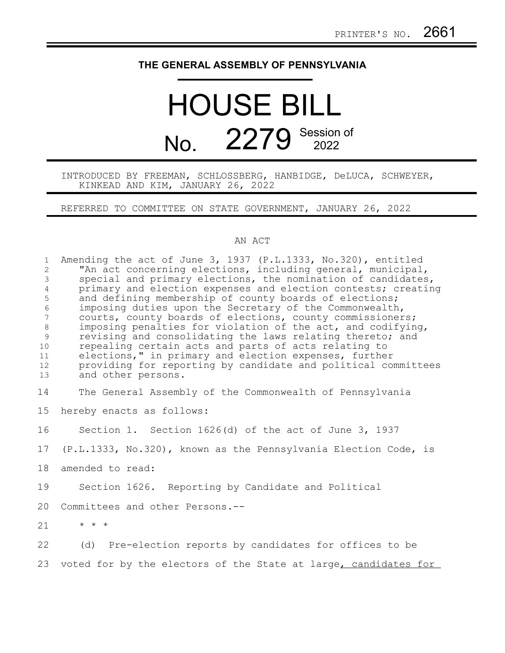## **THE GENERAL ASSEMBLY OF PENNSYLVANIA**

## HOUSE BILL No. 2279 Session of

INTRODUCED BY FREEMAN, SCHLOSSBERG, HANBIDGE, DeLUCA, SCHWEYER, KINKEAD AND KIM, JANUARY 26, 2022

REFERRED TO COMMITTEE ON STATE GOVERNMENT, JANUARY 26, 2022

## AN ACT

| $\mathbf{1}$<br>$\overline{2}$<br>$\mathfrak{Z}$<br>$\overline{4}$<br>5<br>$\epsilon$<br>$\overline{7}$<br>$8\,$<br>9<br>10<br>11<br>12<br>13 | Amending the act of June 3, 1937 (P.L.1333, No.320), entitled<br>"An act concerning elections, including general, municipal,<br>special and primary elections, the nomination of candidates,<br>primary and election expenses and election contests; creating<br>and defining membership of county boards of elections;<br>imposing duties upon the Secretary of the Commonwealth,<br>courts, county boards of elections, county commissioners;<br>imposing penalties for violation of the act, and codifying,<br>revising and consolidating the laws relating thereto; and<br>repealing certain acts and parts of acts relating to<br>elections," in primary and election expenses, further<br>providing for reporting by candidate and political committees<br>and other persons. |
|-----------------------------------------------------------------------------------------------------------------------------------------------|-------------------------------------------------------------------------------------------------------------------------------------------------------------------------------------------------------------------------------------------------------------------------------------------------------------------------------------------------------------------------------------------------------------------------------------------------------------------------------------------------------------------------------------------------------------------------------------------------------------------------------------------------------------------------------------------------------------------------------------------------------------------------------------|
| 14                                                                                                                                            | The General Assembly of the Commonwealth of Pennsylvania                                                                                                                                                                                                                                                                                                                                                                                                                                                                                                                                                                                                                                                                                                                            |
| 15                                                                                                                                            | hereby enacts as follows:                                                                                                                                                                                                                                                                                                                                                                                                                                                                                                                                                                                                                                                                                                                                                           |
| 16                                                                                                                                            | Section 1. Section $1626(d)$ of the act of June 3, 1937                                                                                                                                                                                                                                                                                                                                                                                                                                                                                                                                                                                                                                                                                                                             |
| 17                                                                                                                                            | (P.L.1333, No.320), known as the Pennsylvania Election Code, is                                                                                                                                                                                                                                                                                                                                                                                                                                                                                                                                                                                                                                                                                                                     |
| 18                                                                                                                                            | amended to read:                                                                                                                                                                                                                                                                                                                                                                                                                                                                                                                                                                                                                                                                                                                                                                    |
| 19                                                                                                                                            | Section 1626. Reporting by Candidate and Political                                                                                                                                                                                                                                                                                                                                                                                                                                                                                                                                                                                                                                                                                                                                  |
| 20                                                                                                                                            | Committees and other Persons.--                                                                                                                                                                                                                                                                                                                                                                                                                                                                                                                                                                                                                                                                                                                                                     |
| 21                                                                                                                                            | $\star$ $\star$ $\star$                                                                                                                                                                                                                                                                                                                                                                                                                                                                                                                                                                                                                                                                                                                                                             |
| 22                                                                                                                                            | (d) Pre-election reports by candidates for offices to be                                                                                                                                                                                                                                                                                                                                                                                                                                                                                                                                                                                                                                                                                                                            |
| 23                                                                                                                                            | voted for by the electors of the State at large, candidates for                                                                                                                                                                                                                                                                                                                                                                                                                                                                                                                                                                                                                                                                                                                     |